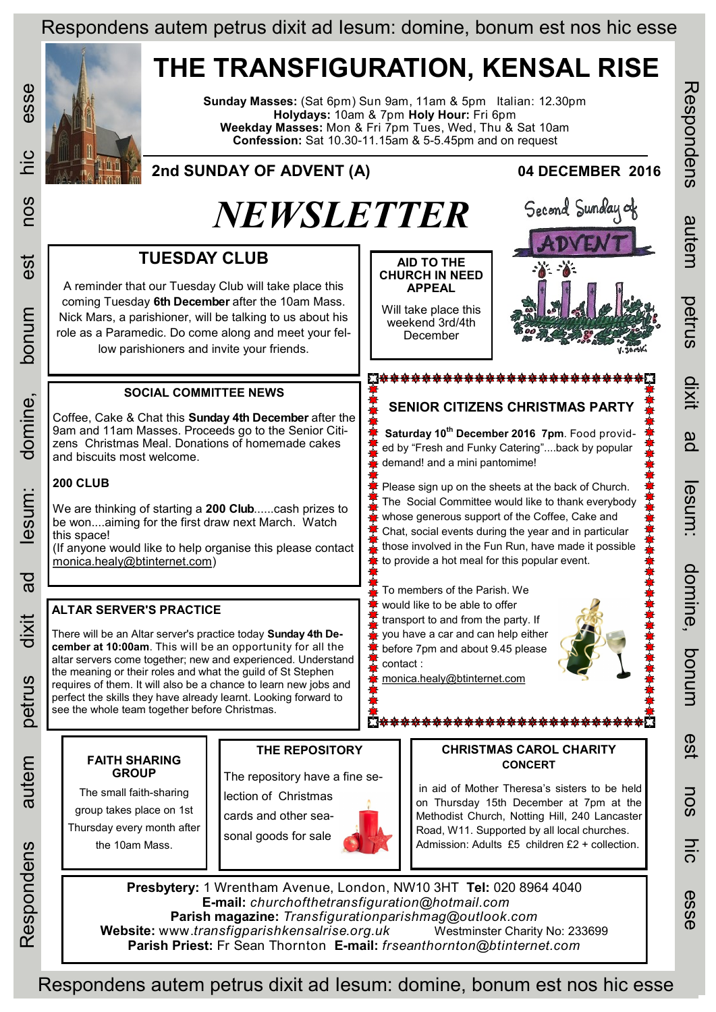## Respondens autem petrus dixit ad Iesum: domine, bonum est nos hic esse

# **THE TRANSFIGURATION, KENSAL RISE**

**Sunday Masses:** (Sat 6pm) Sun 9am, 11am & 5pm Italian: 12.30pm **Holydays:** 10am & 7pm **Holy Hour:** Fri 6pm **Weekday Masses:** Mon & Fri 7pm Tues, Wed, Thu & Sat 10am **Confession:** Sat 10.30-11.15am & 5-5.45pm and on request

#### **2nd SUNDAY OF ADVENT (A) 04 DECEMBER 2016** *NEWSLETTER* Second Sunday of **TUESDAY CLUB AID TO THE CHURCH IN NEED**  A reminder that our Tuesday Club will take place this **APPEAL** coming Tuesday **6th December** after the 10am Mass. Will take place this Nick Mars, a parishioner, will be talking to us about his weekend 3rd/4th role as a Paramedic. Do come along and meet your fel-December low parishioners and invite your friends. **83<del>00000000000000000000000000</del>000 SOCIAL COMMITTEE NEWS SENIOR CITIZENS CHRISTMAS PARTY** Coffee, Cake & Chat this **Sunday 4th December** after the 9am and 11am Masses. Proceeds go to the Senior Citi-**Saturday 10th December 2016 7pm**. Food providzens Christmas Meal. Donations of homemade cakes ed by "Fresh and Funky Catering"....back by popular and biscuits most welcome. demand! and a mini pantomime! **200 CLUB** Please sign up on the sheets at the back of Church. The Social Committee would like to thank everybody We are thinking of starting a **200 Club**......cash prizes to whose generous support of the Coffee, Cake and be won....aiming for the first draw next March. Watch Chat, social events during the year and in particular this space! those involved in the Fun Run, have made it possible (If anyone would like to help organise this please contact [monica.healy@btinternet.com\)](mailto:monica.healy@btinternet.com) to provide a hot meal for this popular event. To members of the Parish. We would like to be able to offer **ALTAR SERVER'S PRACTICE** transport to and from the party. If you have a car and can help either There will be an Altar server's practice today **Sunday 4th December at 10:00am**. This will be an opportunity for all the before 7pm and about 9.45 please altar servers come together; new and experienced. Understand contact : the meaning or their roles and what the guild of St Stephen [monica.healy@btinternet.com](mailto:monica.healy@btinternet.com) requires of them. It will also be a chance to learn new jobs and perfect the skills they have already learnt. Looking forward to see the whole team together before Christmas. Ñ<del>\*\*\*\*\*\*\*\*\*\*\*\*\*\*\*\*\*\*\*\*\*\*\*\*\*</del> **THE REPOSITORY CHRISTMAS CAROL CHARITY FAITH SHARING CONCERT GROUP** The repository have a fine sein aid of Mother Theresa's sisters to be held The small faith-sharing lection of Christmas on Thursday 15th December at 7pm at the group takes place on 1st cards and other sea-Methodist Church, Notting Hill, 240 Lancaster Thursday every month after Road, W11. Supported by all local churches. sonal goods for sale

Admission: Adults £5 children £2 + collection.

**Presbytery:** 1 Wrentham Avenue, London, NW10 3HT **Tel:** 020 8964 4040 **E-mail:** *churchofthetransfiguration@hotmail.com*  **Parish magazine:** *Transfigurationparishmag@outlook.com*  **Website:** www.*transfigparishkensalrise.org.uk* Westminster Charity No: 233699 **Parish Priest:** Fr Sean Thornton **E-mail:** *frseanthornton@btinternet.com* 

Respondens Respondens autem petrus dixit ad Iesum: domine, bonum est nos hic esse auten petrus Ξ gd esum: domine, ponunn est

nos

ש<br>ה

esse

esse

 $\frac{1}{10}$ 

nos

est

mundoa

domine,

esum:

 $\overline{a}$ 

Respondens

the 10am Mass.

### Respondens autem petrus dixit ad Iesum: domine, bonum est nos hic esse